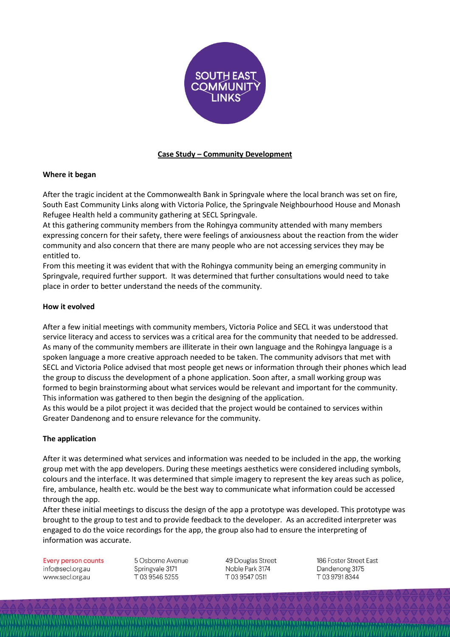

# **Case Study – Community Development**

## **Where it began**

After the tragic incident at the Commonwealth Bank in Springvale where the local branch was set on fire, South East Community Links along with Victoria Police, the Springvale Neighbourhood House and Monash Refugee Health held a community gathering at SECL Springvale.

At this gathering community members from the Rohingya community attended with many members expressing concern for their safety, there were feelings of anxiousness about the reaction from the wider community and also concern that there are many people who are not accessing services they may be entitled to.

From this meeting it was evident that with the Rohingya community being an emerging community in Springvale, required further support. It was determined that further consultations would need to take place in order to better understand the needs of the community.

## **How it evolved**

After a few initial meetings with community members, Victoria Police and SECL it was understood that service literacy and access to services was a critical area for the community that needed to be addressed. As many of the community members are illiterate in their own language and the Rohingya language is a spoken language a more creative approach needed to be taken. The community advisors that met with SECL and Victoria Police advised that most people get news or information through their phones which lead the group to discuss the development of a phone application. Soon after, a small working group was formed to begin brainstorming about what services would be relevant and important for the community. This information was gathered to then begin the designing of the application.

As this would be a pilot project it was decided that the project would be contained to services within Greater Dandenong and to ensure relevance for the community.

### **The application**

After it was determined what services and information was needed to be included in the app, the working group met with the app developers. During these meetings aesthetics were considered including symbols, colours and the interface. It was determined that simple imagery to represent the key areas such as police, fire, ambulance, health etc. would be the best way to communicate what information could be accessed through the app.

After these initial meetings to discuss the design of the app a prototype was developed. This prototype was brought to the group to test and to provide feedback to the developer. As an accredited interpreter was engaged to do the voice recordings for the app, the group also had to ensure the interpreting of information was accurate.

**Every person counts** info@secl.org.au www.secl.org.au

5 Osborne Avenue Springvale 3171 T0395465255

49 Douglas Street Noble Park 3174 T0395470511

186 Foster Street East Dandenong 3175 T0397918344